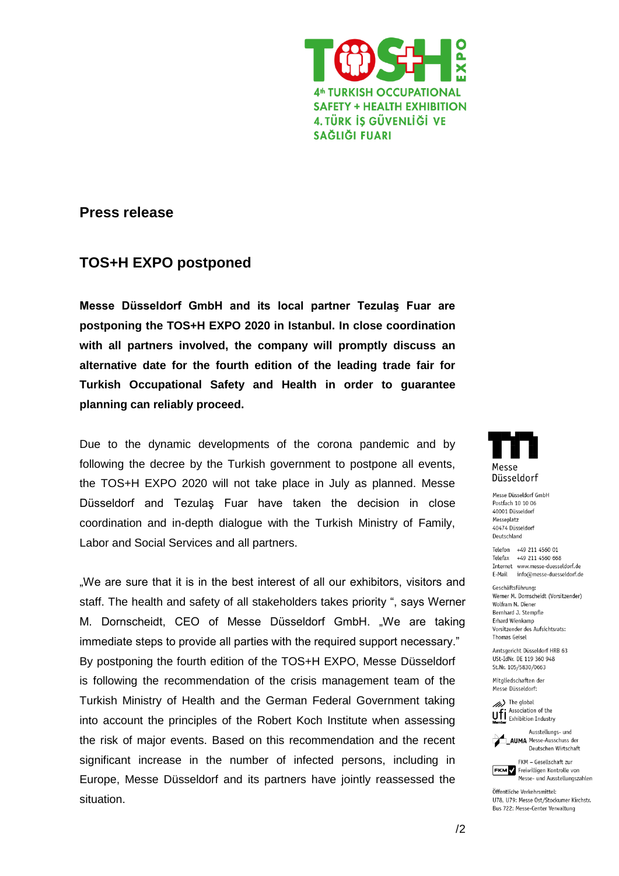

## **Press release**

## **TOS+H EXPO postponed**

**Messe Düsseldorf GmbH and its local partner Tezulaş Fuar are postponing the TOS+H EXPO 2020 in Istanbul. In close coordination with all partners involved, the company will promptly discuss an alternative date for the fourth edition of the leading trade fair for Turkish Occupational Safety and Health in order to guarantee planning can reliably proceed.**

Due to the dynamic developments of the corona pandemic and by following the decree by the Turkish government to postpone all events, the TOS+H EXPO 2020 will not take place in July as planned. Messe Düsseldorf and Tezulaş Fuar have taken the decision in close coordination and in-depth dialogue with the Turkish Ministry of Family, Labor and Social Services and all partners.

.We are sure that it is in the best interest of all our exhibitors, visitors and staff. The health and safety of all stakeholders takes priority ", says Werner M. Dornscheidt, CEO of Messe Düsseldorf GmbH. "We are taking immediate steps to provide all parties with the required support necessary." By postponing the fourth edition of the TOS+H EXPO, Messe Düsseldorf is following the recommendation of the crisis management team of the Turkish Ministry of Health and the German Federal Government taking into account the principles of the Robert Koch Institute when assessing the risk of major events. Based on this recommendation and the recent significant increase in the number of infected persons, including in Europe, Messe Düsseldorf and its partners have jointly reassessed the situation.



Messe Düsseldorf GmbH Postfach 10 10 06 40001 Düsseldorf Messeplatz **40474 Dissoldorf** Deutschland

Telefon +49 211 4560 01 Telefax +49 211 4560 668 Internet www.messe-duesseldorf.de E-Mail info@messe-duesseldorf.de

Geschäftsführung: Werner M. Dornscheidt (Vorsitzender) Wolfram N. Diener Bernhard J. Stempfle Erhard Wienkamp Vorsitzender des Aufsichtsrats: **Thomas Geisel** 

Amtsgericht Düsseldorf HRB 63 USt-IdNr. DE 119 360 948 St.Nr. 105/5830/0663

Mitaliedschaften der Messe Düsseldorf:





Deutschen Wirtschaft FKM - Gesellschaft zur

FKM Freiwilligen Kontrolle von Messe- und Ausstellungszahlen

Öffentliche Verkehrsmittel: U78, U79: Messe Ost/Stockumer Kirchstr. Bus 722: Messe-Center Verwaltung